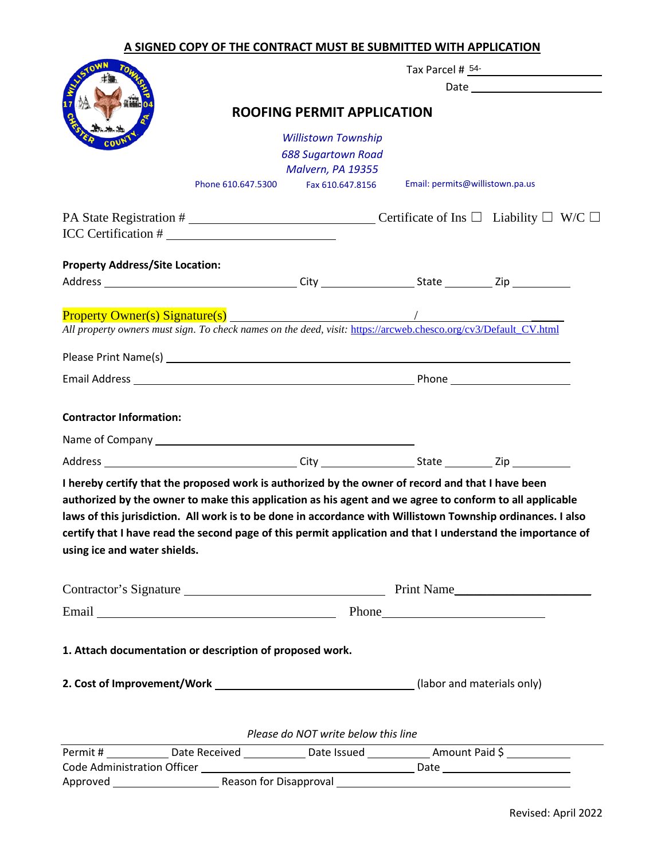## **A SIGNED COPY OF THE CONTRACT MUST BE SUBMITTED WITH APPLICATION**

|                                                                                                                                                                                                                                                                                                                                                                                                                                                                            | Tax Parcel # 54-                  |                                                                                                                     |                                 |  |
|----------------------------------------------------------------------------------------------------------------------------------------------------------------------------------------------------------------------------------------------------------------------------------------------------------------------------------------------------------------------------------------------------------------------------------------------------------------------------|-----------------------------------|---------------------------------------------------------------------------------------------------------------------|---------------------------------|--|
|                                                                                                                                                                                                                                                                                                                                                                                                                                                                            | <b>ROOFING PERMIT APPLICATION</b> |                                                                                                                     |                                 |  |
|                                                                                                                                                                                                                                                                                                                                                                                                                                                                            |                                   | <b>Willistown Township</b><br><b>688 Sugartown Road</b><br>Malvern, PA 19355<br>Phone 610.647.5300 Fax 610.647.8156 | Email: permits@willistown.pa.us |  |
|                                                                                                                                                                                                                                                                                                                                                                                                                                                                            |                                   |                                                                                                                     |                                 |  |
| PA State Registration # $\Box$ Certificate of Ins $\Box$ Liability $\Box$ W/C $\Box$                                                                                                                                                                                                                                                                                                                                                                                       |                                   |                                                                                                                     |                                 |  |
| <b>Property Address/Site Location:</b>                                                                                                                                                                                                                                                                                                                                                                                                                                     |                                   |                                                                                                                     |                                 |  |
|                                                                                                                                                                                                                                                                                                                                                                                                                                                                            |                                   |                                                                                                                     |                                 |  |
| Property Owner(s) Signature(s)<br>All property owners must sign. To check names on the deed, visit: https://arcweb.chesco.org/cv3/Default_CV.html                                                                                                                                                                                                                                                                                                                          |                                   |                                                                                                                     |                                 |  |
|                                                                                                                                                                                                                                                                                                                                                                                                                                                                            |                                   |                                                                                                                     |                                 |  |
|                                                                                                                                                                                                                                                                                                                                                                                                                                                                            |                                   |                                                                                                                     |                                 |  |
| <b>Contractor Information:</b>                                                                                                                                                                                                                                                                                                                                                                                                                                             |                                   |                                                                                                                     |                                 |  |
| I hereby certify that the proposed work is authorized by the owner of record and that I have been<br>authorized by the owner to make this application as his agent and we agree to conform to all applicable<br>laws of this jurisdiction. All work is to be done in accordance with Willistown Township ordinances. I also<br>certify that I have read the second page of this permit application and that I understand the importance of<br>using ice and water shields. |                                   |                                                                                                                     |                                 |  |
|                                                                                                                                                                                                                                                                                                                                                                                                                                                                            |                                   |                                                                                                                     |                                 |  |
|                                                                                                                                                                                                                                                                                                                                                                                                                                                                            | Email Phone Phone                 |                                                                                                                     |                                 |  |
| 1. Attach documentation or description of proposed work.                                                                                                                                                                                                                                                                                                                                                                                                                   |                                   |                                                                                                                     |                                 |  |
|                                                                                                                                                                                                                                                                                                                                                                                                                                                                            |                                   |                                                                                                                     |                                 |  |
|                                                                                                                                                                                                                                                                                                                                                                                                                                                                            |                                   | Please do NOT write below this line                                                                                 |                                 |  |
| Permit # ______________Date Received _______________Date Issued ________________Amount Paid \$ ____________                                                                                                                                                                                                                                                                                                                                                                |                                   |                                                                                                                     |                                 |  |
|                                                                                                                                                                                                                                                                                                                                                                                                                                                                            |                                   |                                                                                                                     |                                 |  |